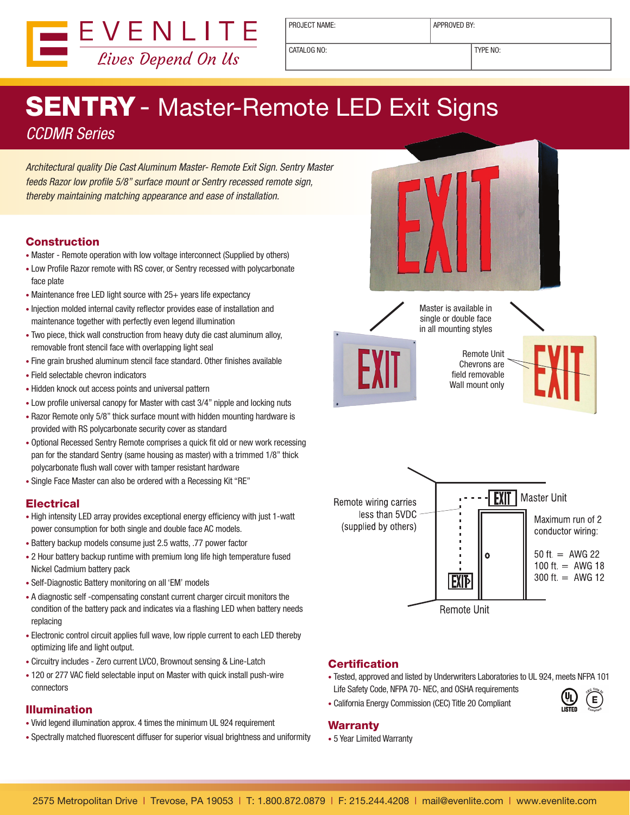

PROJECT NAME: <br> APPROVED BY:

CATALOG NO: TYPE NO:

# **SENTRY** - Master-Remote LED Exit Signs *CCDMR Series*

*Architectural quality Die Cast Aluminum Master- Remote Exit Sign. Sentry Master feeds Razor low profile 5/8" surface mount or Sentry recessed remote sign, thereby maintaining matching appearance and ease of installation.*

#### Construction

- Master Remote operation with low voltage interconnect (Supplied by others)
- Low Profile Razor remote with RS cover, or Sentry recessed with polycarbonate face plate
- Maintenance free LED light source with 25+ years life expectancy
- Injection molded internal cavity reflector provides ease of installation and maintenance together with perfectly even legend illumination
- Two piece, thick wall construction from heavy duty die cast aluminum alloy, removable front stencil face with overlapping light seal
- Fine grain brushed aluminum stencil face standard. Other finishes available
- Field selectable chevron indicators
- Hidden knock out access points and universal pattern
- Low profile universal canopy for Master with cast 3/4" nipple and locking nuts
- Razor Remote only 5/8" thick surface mount with hidden mounting hardware is provided with RS polycarbonate security cover as standard
- Optional Recessed Sentry Remote comprises a quick fit old or new work recessing pan for the standard Sentry (same housing as master) with a trimmed 1/8" thick polycarbonate flush wall cover with tamper resistant hardware
- Single Face Master can also be ordered with a Recessing Kit "RE"

## **Electrical**

- High intensity LED array provides exceptional energy efficiency with just 1-watt power consumption for both single and double face AC models.
- Battery backup models consume just 2.5 watts, .77 power factor
- 2 Hour battery backup runtime with premium long life high temperature fused Nickel Cadmium battery pack
- Self-Diagnostic Battery monitoring on all 'EM' models
- A diagnostic self -compensating constant current charger circuit monitors the condition of the battery pack and indicates via a flashing LED when battery needs replacing
- Electronic control circuit applies full wave, low ripple current to each LED thereby optimizing life and light output.
- Circuitry includes Zero current LVCO, Brownout sensing & Line-Latch
- 120 or 277 VAC field selectable input on Master with quick install push-wire connectors

## Illumination

- Vivid legend illumination approx. 4 times the minimum UL 924 requirement
- Spectrally matched fluorescent diffuser for superior visual brightness and uniformity





#### **Certification**

- Tested, approved and listed by Underwriters Laboratories to UL 924, meets NFPA 101 Life Safety Code, NFPA 70- NEC, and OSHA requirements
- California Energy Commission (CEC) Title 20 Compliant
- 

#### **Warranty**

• 5 Year Limited Warranty